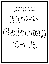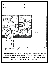| Name:                                                                                                                                                                                                                                                                           | <b>School: School: Property</b>                     |  |
|---------------------------------------------------------------------------------------------------------------------------------------------------------------------------------------------------------------------------------------------------------------------------------|-----------------------------------------------------|--|
|                                                                                                                                                                                                                                                                                 | Teacher: _____________<br>Grade: __________________ |  |
|                                                                                                                                                                                                                                                                                 |                                                     |  |
|                                                                                                                                                                                                                                                                                 |                                                     |  |
| <b>Pharmacists</b> are doctors who give people medicine if they are<br>sick to make them feel better. They mix things to make<br>medicine. They tell people how much to take, when to take it,<br>and what the medicine will do for them.<br>Source: www.knowitall.org/kidswork |                                                     |  |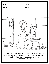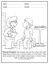|                                | School: ________________________ |
|--------------------------------|----------------------------------|
| Grade: _______________________ |                                  |
| $e^{i\theta}$<br>DL            |                                  |

Physical therapists help people who are hurt when they have things like a broken arm, a twisted ankle, or a hurt back. They show people how to lift weights, jump ropes, or throw heavy balls to help them get better.

Source: www.knowitall.org/kidswork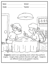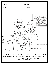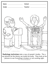